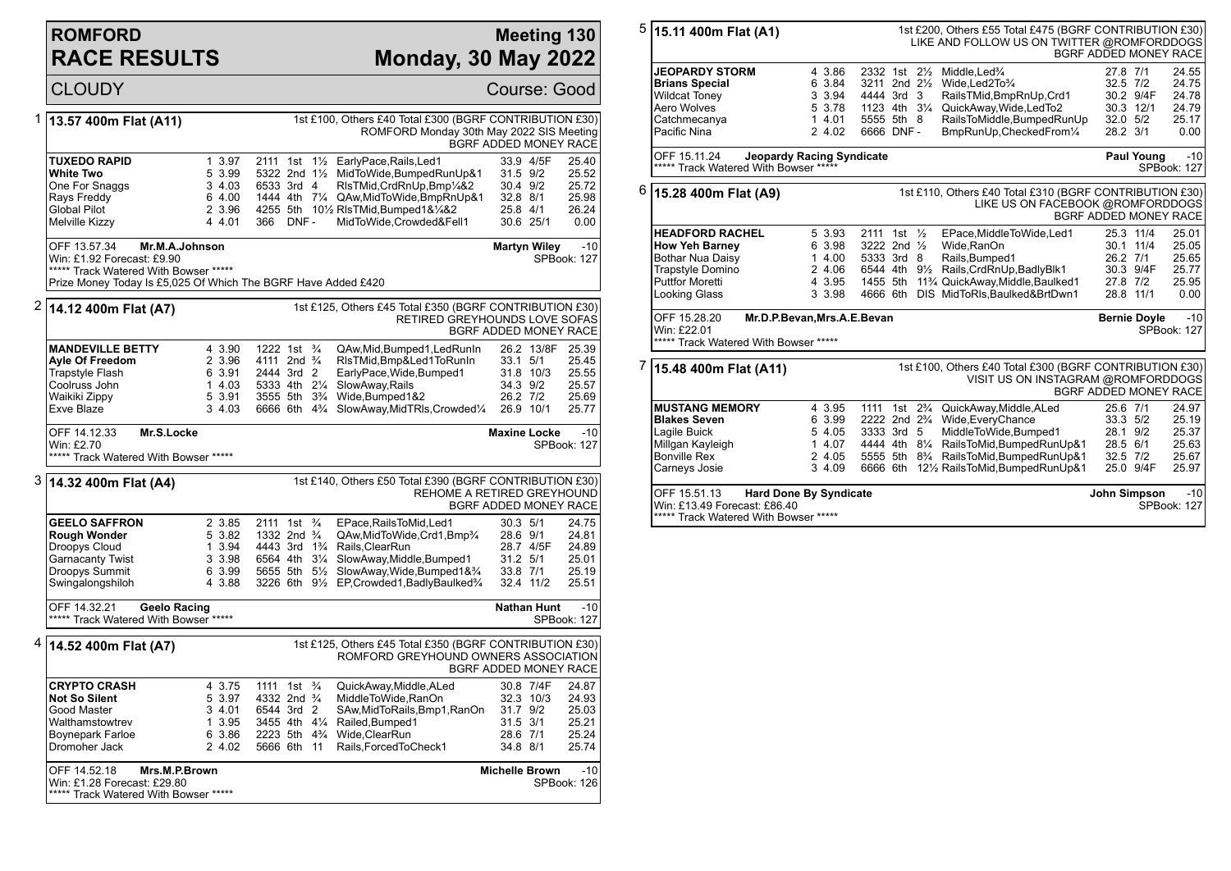## **ROMFORD RACE RESULTS**

Win: £1.28 Forecast: £29.80 \*\*\*\*\* Track Watered With Bowser \*\*\*\*\*

## **Meeting 130 Monday, 30 May 2022**

SPBook: 126

CLOUDY Course: Good 1 **13.57 400m Flat (A11)** 1st £100, Others £40 Total £300 (BGRF CONTRIBUTION £30) ROMFORD Monday 30th May 2022 SIS Meeting BGRF ADDED MONEY RACE **TUXEDO RAPID** 1 3.97 2111 1st 1<sup>1</sup>/<sub>2</sub> EarlyPace,Rails,Led1 33.9 4/5F 25.40<br>
White Two 3.9 53.99 5322 2nd 1<sup>1</sup>/<sub>2</sub> MidToWide,BumpedRunUp&1 31.5 9/2 25.52 **White Two** 5 3.99 5322 2nd 1<sup>1</sup>/<sub>2</sub> MidToWide,BumpedRunUp&1 31.5 9/2<br>One For Snaggs 3 4.03 6533 3rd 4 RIsTMid,CrdRnUp,Bmp<sup>1</sup>/&2 30.4 9/2 One For Snaggs 3 4.03 6533 3rd 4 RlsTMid,CrdRnUp,Bmp¼&2 30.4 9/2 25.72 Rays Freddy (1990) 6 4.00 1444 4th 71/4 QAw,MidToWide,BmpRnUp&1 32.8 8/1 25.98<br>Global Pilot (2.3.96 4255 5th 101⁄2 RIsTMid.Bumped1&1⁄4&2 25.8 4/1 26.24 Global Pilot 2 3.96 4255 5th 10½ RIsTMid,Bumped1&¼&2 25.8 4/1 26.24<br>Melville Kizzy 25.4 4.01 366 DNF - MidToWide Crowded&Fell1 30.6 25/1 0.00 MidToWide Crowded&Fell1 OFF 13.57.34 **Mr.M.A.Johnson** Win: £1.92 Forecast: £9.90 \*\*\*\*\* Track Watered With Bowser \*\*\*\*\* Prize Money Today Is £5,025 Of Which The BGRF Have Added £420 **Martyn Wiley -10** SPBook: 127 2 **14.12 400m Flat (A7)** 1st £125, Others £45 Total £350 (BGRF CONTRIBUTION £30) RETIRED GREYHOUNDS LOVE SOFAS BGRF ADDED MONEY RACE **MANDEVILLE BETTY** 4 3.90 1222 1st <sup>3</sup>/<sub>4</sub> QAw,Mid,Bumped1,LedRunIn 26.2 13/8F 25.39<br> **Ayle Of Freedom** 2 3.96 4111 2nd <sup>3</sup>/<sub>4</sub> RIsTMid,Bmp&Led1ToRunIn 33.1 5/1 25.45 **Ayle Of Freedom** 2 3.96 4111 2nd <sup>3</sup>⁄4 RIsTMid,Bmp&Led1ToRunIn 33.1 5/1 25.45<br>Trapstyle Flash 6 3.91 2444 3rd 2 EarlyPace,Wide,Bumped1 31.8 10/3 25.55 Trapstyle Flash 6 3.91 2444 3rd 2 EarlyPace, Wide, Bumped 1 31.8 10/3<br>Coolruss John 1 4.03 5333 4th 21/4 SlowAway, Rails 34.3 9/2 Coolruss John 1 4.03 5333 4th 2¼ SlowAway,Rails 34.3 9/2 25.57 Waikiki Zippy 5 3.91 3555 5th 3¾ Wide,Bumped1&2 26.2 7/2 25.69 Exve Blaze 3 4.03 6666 6th 4¾ SlowAway,MidTRls,Crowded¼ 26.9 10/1 25.77 OFF 14.12.33 **Mr.S.Locke** Win: £2.70 \*\*\*\*\* Track Watered With Bowser \*\*\*\*\* **Maxine Locke** -10 SPBook: 127 3 **14.32 400m Flat (A4)** 1st £140, Others £50 Total £390 (BGRF CONTRIBUTION £30) REHOME A RETIRED GREYHOUND BGRF ADDED MONEY RACE **GEELO SAFFRON** 2 3.85 2111 1st <sup>3</sup>/<sub>4</sub> EPace,RailsToMid,Led1 30.3 5/1 24.75<br> **Rough Wonder** 5 3.82 1332 2nd <sup>3</sup>/<sub>4</sub> QAw,MidToWide,Crd1,Bmp<sup>3</sup>/<sub>4</sub> 28.6 9/1 24.81 **Rough Wonder** 5 3.82 1332 2nd ¾ QAw,MidToWide,Crd1,Bmp¾ 28.6 9/1 24.81<br>Droopys Cloud 1 3.94 4443 3rd 1¾ Rails,ClearRun 28.7 4/5F 24.89 1 3.94 4443 3rd 1<sup>3</sup>/<sub>4</sub> Rails, ClearRun 3 3.98 6564 4th 3<sup>1</sup>/<sub>4</sub> SlowAway, Middl Garnacanty Twist 3 3.98 6564 4th 3¼ SlowAway,Middle,Bumped1 31.2 5/1 25.01 Droopys Summit 6 3.99 5655 5th 5½ SlowAway,Wide,Bumped1&¾ 33.8 7/1 25.19 Swingalongshiloh 4 3.88 3226 6th 9½ EP,Crowded1,BadlyBaulked¾ 32.4 11/2 25.51 OFF 14.32.21 **Geelo Racing** \*\*\*\*\* Track Watered With Bowser \*\*\*\*\* **Nathan Hunt** -10 SPBook: 127 4 **14.52 400m Flat (A7)** 1st £125, Others £45 Total £350 (BGRF CONTRIBUTION £30) ROMFORD GREYHOUND OWNERS ASSOCIATION BGRF ADDED MONEY RACE **CRYPTO CRASH** 4 3.75 1111 1st <sup>3</sup>/4 QuickAway,Middle,ALed 30.8 7/4F 24.87<br> **Not So Silent** 5 3.97 4332 2nd <sup>3</sup>/4 MiddleToWide,RanOn 32.3 10/3 24.93 **Not So Silent** 5 3.97 4332 2nd ¾ MiddleToWide,RanOn 32.3 10/3 24.93<br>Good Master 3 4.01 6544 3rd 2 SAw,MidToRails,Bmp1,RanOn 31.7 9/2 25.03 Good Master 3 4.01 6544 3rd 2 SAw,MidToRails,Bmp1,RanOn 31.7 9/2 25.03 Walthamstowtrev 1 3.95 3455 4th 4¼ Railed,Bumped1 31.5 3/1 25.21 Boynepark Farloe 6 3.86 2223 5th 4¾ Wide,ClearRun 28.6 7/1 25.24<br>Dromoher Jack 2 4.02 5666 6th 11 Rails,ForcedToCheck1 34.8 8/1 25.74 5666 6th 11 Rails,ForcedToCheck1 OFF 14.52.18 **Mrs.M.P.Brown Michelle Brown** -10

| 5                                                                             | 15.11 400m Flat (A1)                                                                                                               |                                                          |                                                                                           |  |  | 1st £200, Others £55 Total £475 (BGRF CONTRIBUTION £30)<br>LIKE AND FOLLOW US ON TWITTER @ROMFORDDOGS                                                                                                                                                                                  | BGRF ADDED MONEY RACE                                    |                                     |                                                    |
|-------------------------------------------------------------------------------|------------------------------------------------------------------------------------------------------------------------------------|----------------------------------------------------------|-------------------------------------------------------------------------------------------|--|--|----------------------------------------------------------------------------------------------------------------------------------------------------------------------------------------------------------------------------------------------------------------------------------------|----------------------------------------------------------|-------------------------------------|----------------------------------------------------|
|                                                                               | <b>JEOPARDY STORM</b><br><b>Brians Special</b><br>Wildcat Toney<br>Aero Wolves<br>Catchmecanya<br>Pacific Nina                     | 4 3.86<br>6 3.84<br>3 3.94<br>5 3.78<br>1 4.01<br>2 4.02 | 2332 1st 21/2<br>3211 2nd 21/2<br>4444 3rd 3<br>1123 4th 31/4<br>5555 5th 8<br>6666 DNF - |  |  | Middle, Led <sup>3</sup> /4<br>Wide, Led 2To 3/4<br>RailsTMid,BmpRnUp,Crd1<br>QuickAway, Wide, LedTo2<br>RailsToMiddle, BumpedRunUp<br>BmpRunUp, CheckedFrom1/4                                                                                                                        | 27.8 7/1<br>$32.5$ $7/2$<br>32.0 5/2<br>28.2 3/1         | 30.2 9/4F<br>30.3 12/1              | 24.55<br>24.75<br>24.78<br>24.79<br>25.17<br>0.00  |
|                                                                               | OFF 15.11.24<br>***** Track Watered With Bowser *****                                                                              | <b>Jeopardy Racing Syndicate</b>                         |                                                                                           |  |  |                                                                                                                                                                                                                                                                                        |                                                          | Paul Young                          | $-10$<br><b>SPBook: 127</b>                        |
| 6                                                                             | 15.28 400m Flat (A9)                                                                                                               |                                                          |                                                                                           |  |  | 1st £110, Others £40 Total £310 (BGRF CONTRIBUTION £30)<br>LIKE US ON FACEBOOK @ROMFORDDOGS                                                                                                                                                                                            | BGRF ADDED MONEY RACE                                    |                                     |                                                    |
|                                                                               | <b>HEADFORD RACHEL</b><br><b>How Yeh Barney</b><br>Bothar Nua Daisy<br>Trapstyle Domino<br><b>Puttfor Moretti</b><br>Looking Glass | 5 3.93<br>6 3.98<br>1 4.00<br>2 4.06<br>4 3.95<br>3 3.98 | 2111 1st 1/2<br>3222 2nd 1/2<br>5333 3rd 8                                                |  |  | EPace, MiddleToWide, Led1<br>Wide, RanOn<br>Rails, Bumped1<br>6544 4th 91/2 Rails, CrdRnUp, Badly Blk1<br>1455 5th 11 <sup>3</sup> / <sub>4</sub> QuickAway, Middle, Baulked1<br>4666 6th DIS MidToRIs, Baulked&BrtDwn1                                                                | 26.2 7/1<br>27.8 7/2<br>28.8 11/1                        | 25.3 11/4<br>30.1 11/4<br>30.3 9/4F | 25.01<br>25.05<br>25.65<br>25.77<br>25.95<br>0.00  |
|                                                                               | OFF 15.28.20<br>Mr.D.P.Bevan, Mrs.A.E.Bevan<br>Win: £22.01<br>***** Track Watered With Bowser *****                                |                                                          |                                                                                           |  |  |                                                                                                                                                                                                                                                                                        |                                                          | <b>Bernie Doyle</b>                 | $-10$<br>SPBook: 127                               |
| 7                                                                             | 15.48 400m Flat (A11)                                                                                                              |                                                          |                                                                                           |  |  | 1st £100, Others £40 Total £300 (BGRF CONTRIBUTION £30)<br>VISIT US ON INSTAGRAM @ROMFORDDOGS                                                                                                                                                                                          | BGRF ADDED MONEY RACE                                    |                                     |                                                    |
|                                                                               | <b>MUSTANG MEMORY</b><br><b>Blakes Seven</b><br>Lagile Buick<br>Millgan Kayleigh<br><b>Bonville Rex</b><br>Carneys Josie           | 4 3.95<br>6 3.99<br>5 4.05<br>14.07<br>2 4.05<br>3 4.09  | 3333 3rd 5                                                                                |  |  | 1111 1st 2 <sup>3</sup> / <sub>4</sub> QuickAway, Middle, ALed<br>2222 2nd 2 <sup>3</sup> / <sub>4</sub> Wide, Every Chance<br>MiddleToWide,Bumped1<br>4444 4th 81/4 RailsToMid, Bumped RunUp&1<br>5555 5th 8% RailsToMid, Bumped RunUp&1<br>6666 6th 121/2 RailsToMid, Bumped RunUp&1 | 25.6 7/1<br>33.3 5/2<br>28.1 9/2<br>28.5 6/1<br>32.5 7/2 | 25.0 9/4F                           | 24.97<br>25.19<br>25.37<br>25.63<br>25.67<br>25.97 |
| OFF 15.51.13<br><b>Hard Done By Syndicate</b><br>Win: £13.49 Forecast: £86.40 |                                                                                                                                    |                                                          |                                                                                           |  |  |                                                                                                                                                                                                                                                                                        | John Simpson                                             |                                     | $-10$<br><b>SPBook: 127</b>                        |

<sup>\*\*\*\*\*</sup> Track Watered With Bowser \*\*\*\*\*